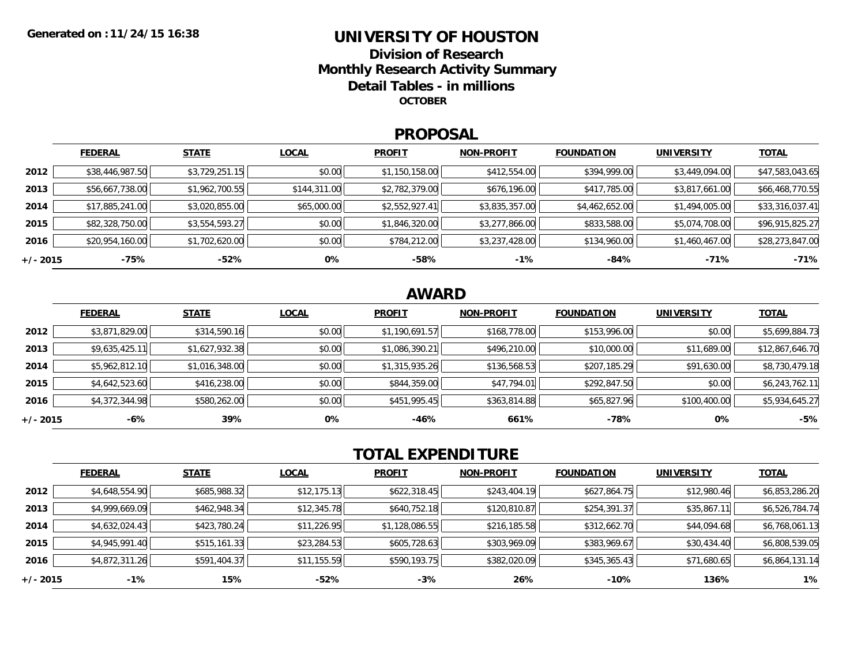### **UNIVERSITY OF HOUSTONDivision of ResearchMonthly Research Activity Summary Detail Tables - in millions OCTOBER**

### **PROPOSAL**

|            | <b>FEDERAL</b>  | <b>STATE</b>   | <b>LOCAL</b> | <b>PROFIT</b>  | <b>NON-PROFIT</b> | <b>FOUNDATION</b> | <b>UNIVERSITY</b> | <u>TOTAL</u>    |
|------------|-----------------|----------------|--------------|----------------|-------------------|-------------------|-------------------|-----------------|
| 2012       | \$38,446,987.50 | \$3,729,251.15 | \$0.00       | \$1,150,158.00 | \$412,554.00      | \$394,999.00      | \$3,449,094.00    | \$47,583,043.65 |
| 2013       | \$56,667,738.00 | \$1,962,700.55 | \$144,311.00 | \$2,782,379.00 | \$676,196.00      | \$417,785.00      | \$3,817,661.00    | \$66,468,770.55 |
| 2014       | \$17,885,241.00 | \$3,020,855.00 | \$65,000.00  | \$2,552,927.41 | \$3,835,357.00    | \$4,462,652.00    | \$1,494,005.00    | \$33,316,037.41 |
| 2015       | \$82,328,750.00 | \$3,554,593.27 | \$0.00       | \$1,846,320.00 | \$3,277,866.00    | \$833,588.00      | \$5,074,708.00    | \$96,915,825.27 |
| 2016       | \$20,954,160.00 | \$1,702,620.00 | \$0.00       | \$784,212.00   | \$3,237,428.00    | \$134,960.00      | \$1,460,467.00    | \$28,273,847.00 |
| $+/- 2015$ | $-75%$          | -52%           | 0%           | $-58%$         | $-1\%$            | $-84%$            | $-71%$            | $-71%$          |

## **AWARD**

|          | <b>FEDERAL</b> | <b>STATE</b>   | <b>LOCAL</b> | <b>PROFIT</b>  | <b>NON-PROFIT</b> | <b>FOUNDATION</b> | <b>UNIVERSITY</b> | <b>TOTAL</b>    |
|----------|----------------|----------------|--------------|----------------|-------------------|-------------------|-------------------|-----------------|
| 2012     | \$3,871,829.00 | \$314,590.16   | \$0.00       | \$1,190,691.57 | \$168,778.00      | \$153,996.00      | \$0.00            | \$5,699,884.73  |
| 2013     | \$9,635,425.11 | \$1,627,932.38 | \$0.00       | \$1,086,390.21 | \$496,210.00      | \$10,000.00       | \$11,689.00       | \$12,867,646.70 |
| 2014     | \$5,962,812.10 | \$1,016,348.00 | \$0.00       | \$1,315,935.26 | \$136,568.53      | \$207,185.29      | \$91,630.00       | \$8,730,479.18  |
| 2015     | \$4,642,523.60 | \$416,238.00   | \$0.00       | \$844,359.00   | \$47,794.01       | \$292,847.50      | \$0.00            | \$6,243,762.11  |
| 2016     | \$4,372,344.98 | \$580,262.00   | \$0.00       | \$451,995.45   | \$363,814.88      | \$65,827.96       | \$100,400.00      | \$5,934,645.27  |
| +/- 2015 | -6%            | 39%            | 0%           | -46%           | 661%              | $-78%$            | 0%                | $-5%$           |

# **TOTAL EXPENDITURE**

|          | <b>FEDERAL</b> | <b>STATE</b> | <b>LOCAL</b> | <b>PROFIT</b>  | <b>NON-PROFIT</b> | <b>FOUNDATION</b> | <b>UNIVERSITY</b> | <b>TOTAL</b>   |
|----------|----------------|--------------|--------------|----------------|-------------------|-------------------|-------------------|----------------|
| 2012     | \$4,648,554.90 | \$685,988.32 | \$12,175.13  | \$622,318.45   | \$243,404.19      | \$627,864.75      | \$12,980.46       | \$6,853,286.20 |
| 2013     | \$4,999,669.09 | \$462,948.34 | \$12,345.78  | \$640,752.18   | \$120,810.87      | \$254,391.37      | \$35,867.11       | \$6,526,784.74 |
| 2014     | \$4,632,024.43 | \$423,780.24 | \$11,226.95  | \$1,128,086.55 | \$216,185.58      | \$312,662.70      | \$44,094.68       | \$6,768,061.13 |
| 2015     | \$4,945,991.40 | \$515,161.33 | \$23,284.53  | \$605,728.63   | \$303,969.09      | \$383,969.67      | \$30,434.40       | \$6,808,539.05 |
| 2016     | \$4,872,311.26 | \$591,404.37 | \$11,155.59  | \$590,193.75   | \$382,020.09      | \$345,365.43      | \$71,680.65       | \$6,864,131.14 |
| +/- 2015 | $-1\%$         | 15%          | $-52%$       | $-3%$          | 26%               | $-10%$            | 136%              | $1\%$          |